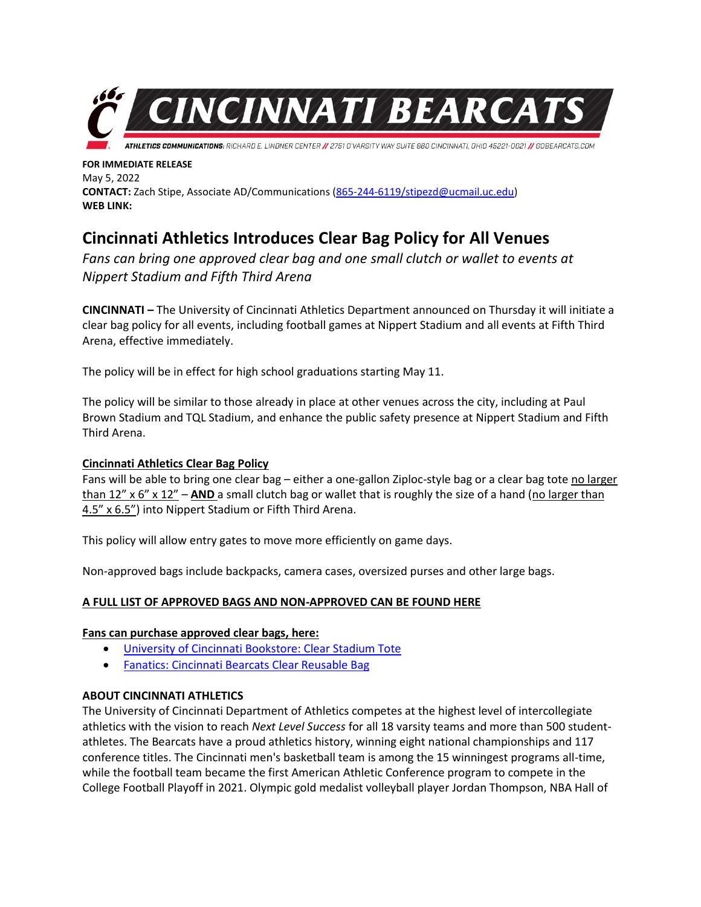

**FOR IMMEDIATE RELEASE** May 5, 2022 **CONTACT:** Zach Stipe, Associate AD/Communications [\(865-244-6119/stipezd@ucmail.uc.edu\)](mailto:865-244-6119/stipezd@ucmail.uc.edu) **WEB LINK:**

# **Cincinnati Athletics Introduces Clear Bag Policy for All Venues**

*Fans can bring one approved clear bag and one small clutch or wallet to events at Nippert Stadium and Fifth Third Arena* 

**CINCINNATI –** The University of Cincinnati Athletics Department announced on Thursday it will initiate a clear bag policy for all events, including football games at Nippert Stadium and all events at Fifth Third Arena, effective immediately.

The policy will be in effect for high school graduations starting May 11.

The policy will be similar to those already in place at other venues across the city, including at Paul Brown Stadium and TQL Stadium, and enhance the public safety presence at Nippert Stadium and Fifth Third Arena.

## **Cincinnati Athletics Clear Bag Policy**

Fans will be able to bring one clear bag – either a one-gallon Ziploc-style bag or a clear bag tote no larger than 12" x 6" x 12" – **AND** a small clutch bag or wallet that is roughly the size of a hand (no larger than 4.5" x 6.5") into Nippert Stadium or Fifth Third Arena.

This policy will allow entry gates to move more efficiently on game days.

Non-approved bags include backpacks, camera cases, oversized purses and other large bags.

## **A FULL LIST OF APPROVED BAGS AND NON-APPROVED CAN BE FOUND HERE**

## **Fans can purchase approved clear bags, here:**

- [University of Cincinnati Bookstore: Clear Stadium Tote](https://www.bkstr.com/cincinnatistore/product/university-of-cincinnati-clear-stadium-tote-576014-1)
- [Fanatics: Cincinnati Bearcats Clear Reusable Bag](https://www.fanatics.com/cincinnati-bearcats-clear-reusable-bag/p-34619661515532+z-9024-1109826582)

## **ABOUT CINCINNATI ATHLETICS**

The University of Cincinnati Department of Athletics competes at the highest level of intercollegiate athletics with the vision to reach *Next Level Success* for all 18 varsity teams and more than 500 studentathletes. The Bearcats have a proud athletics history, winning eight national championships and 117 conference titles. The Cincinnati men's basketball team is among the 15 winningest programs all-time, while the football team became the first American Athletic Conference program to compete in the College Football Playoff in 2021. Olympic gold medalist volleyball player Jordan Thompson, NBA Hall of